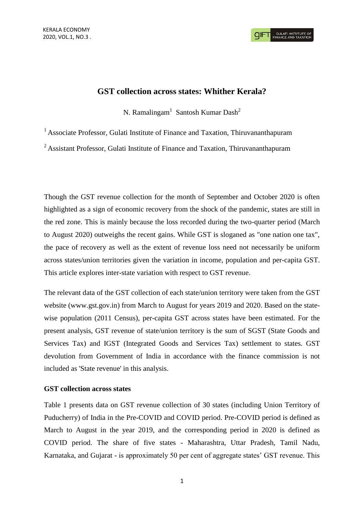## **GST collection across states: Whither Kerala?**

N. Ramalingam<sup>1</sup> Santosh Kumar Dash<sup>2</sup>

<sup>1</sup> Associate Professor, Gulati Institute of Finance and Taxation, Thiruvananthapuram

<sup>2</sup> Assistant Professor, Gulati Institute of Finance and Taxation, Thiruvananthapuram

Though the GST revenue collection for the month of September and October 2020 is often highlighted as a sign of economic recovery from the shock of the pandemic, states are still in the red zone. This is mainly because the loss recorded during the two-quarter period (March to August 2020) outweighs the recent gains. While GST is sloganed as "one nation one tax", the pace of recovery as well as the extent of revenue loss need not necessarily be uniform across states/union territories given the variation in income, population and per-capita GST. This article explores inter-state variation with respect to GST revenue.

The relevant data of the GST collection of each state/union territory were taken from the GST website (www.gst.gov.in) from March to August for years 2019 and 2020. Based on the statewise population (2011 Census), per-capita GST across states have been estimated. For the present analysis, GST revenue of state/union territory is the sum of SGST (State Goods and Services Tax) and IGST (Integrated Goods and Services Tax) settlement to states. GST devolution from Government of India in accordance with the finance commission is not included as 'State revenue' in this analysis.

## **GST collection across states**

Table 1 presents data on GST revenue collection of 30 states (including Union Territory of Puducherry) of India in the Pre-COVID and COVID period. Pre-COVID period is defined as March to August in the year 2019, and the corresponding period in 2020 is defined as COVID period. The share of five states - Maharashtra, Uttar Pradesh, Tamil Nadu, Karnataka, and Gujarat - is approximately 50 per cent of aggregate states' GST revenue. This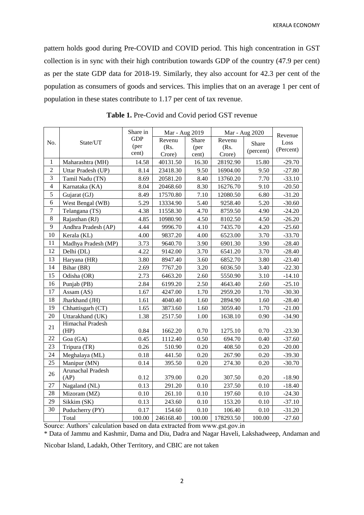pattern holds good during Pre-COVID and COVID period. This high concentration in GST collection is in sync with their high contribution towards GDP of the country (47.9 per cent) as per the state GDP data for 2018-19. Similarly, they also account for 42.3 per cent of the population as consumers of goods and services. This implies that on an average 1 per cent of population in these states contribute to 1.17 per cent of tax revenue.

|                  | State/UT            | Share in      | Mar - Aug 2019 |        | Mar - Aug 2020 |           | Revenue   |
|------------------|---------------------|---------------|----------------|--------|----------------|-----------|-----------|
| No.              |                     | <b>GDP</b>    | Revenu         | Share  | Revenu         | Share     | Loss      |
|                  |                     | (per<br>cent) | (Rs.           | (per   | (Rs.           | (percent) | (Percent) |
|                  |                     |               | Crore)         | cent)  | Crore)         |           |           |
| $\mathbf{1}$     | Maharashtra (MH)    | 14.58         | 40131.50       | 16.30  | 28192.90       | 15.80     | $-29.70$  |
| $\overline{c}$   | Uttar Pradesh (UP)  | 8.14          | 23418.30       | 9.50   | 16904.00       | 9.50      | $-27.80$  |
| $\overline{3}$   | Tamil Nadu (TN)     | 8.69          | 20581.20       | 8.40   | 13760.20       | 7.70      | $-33.10$  |
| $\overline{4}$   | Karnataka (KA)      | 8.04          | 20468.60       | 8.30   | 16276.70       | 9.10      | $-20.50$  |
| $\overline{5}$   | Gujarat (GJ)        | 8.49          | 17570.80       | 7.10   | 12080.50       | 6.80      | $-31.20$  |
| 6                | West Bengal (WB)    | 5.29          | 13334.90       | 5.40   | 9258.40        | 5.20      | $-30.60$  |
| $\boldsymbol{7}$ | Telangana (TS)      | 4.38          | 11558.30       | 4.70   | 8759.50        | 4.90      | $-24.20$  |
| $\,8\,$          | Rajasthan (RJ)      | 4.85          | 10980.90       | 4.50   | 8102.50        | 4.50      | $-26.20$  |
| $\overline{9}$   | Andhra Pradesh (AP) | 4.44          | 9996.70        | 4.10   | 7435.70        | 4.20      | $-25.60$  |
| 10               | Kerala (KL)         | 4.00          | 9837.20        | 4.00   | 6523.00        | 3.70      | $-33.70$  |
| 11               | Madhya Pradesh (MP) | 3.73          | 9640.70        | 3.90   | 6901.30        | 3.90      | $-28.40$  |
| 12               | Delhi (DL)          | 4.22          | 9142.00        | 3.70   | 6541.20        | 3.70      | $-28.40$  |
| 13               | Haryana (HR)        | 3.80          | 8947.40        | 3.60   | 6852.70        | 3.80      | $-23.40$  |
| 14               | Bihar (BR)          | 2.69          | 7767.20        | 3.20   | 6036.50        | 3.40      | $-22.30$  |
| 15               | Odisha (OR)         | 2.73          | 6463.20        | 2.60   | 5550.90        | 3.10      | $-14.10$  |
| 16               | Punjab (PB)         | 2.84          | 6199.20        | 2.50   | 4643.40        | 2.60      | $-25.10$  |
| 17               | Assam (AS)          | 1.67          | 4247.00        | 1.70   | 2959.20        | 1.70      | $-30.30$  |
| 18               | Jharkhand (JH)      | 1.61          | 4040.40        | 1.60   | 2894.90        | 1.60      | $-28.40$  |
| 19               | Chhattisgarh (CT)   | 1.65          | 3873.60        | 1.60   | 3059.40        | 1.70      | $-21.00$  |
| 20               | Uttarakhand (UK)    | 1.38          | 2517.50        | 1.00   | 1638.10        | 0.90      | $-34.90$  |
| 21               | Himachal Pradesh    |               |                |        |                |           |           |
|                  | (HP)                | 0.84          | 1662.20        | 0.70   | 1275.10        | 0.70      | $-23.30$  |
| 22               | Goa (GA)            | 0.45          | 1112.40        | 0.50   | 694.70         | 0.40      | $-37.60$  |
| 23               | Tripura (TR)        | 0.26          | 510.90         | 0.20   | 408.50         | 0.20      | $-20.00$  |
| 24               | Meghalaya (ML)      | 0.18          | 441.50         | 0.20   | 267.90         | 0.20      | $-39.30$  |
| 25               | Manipur (MN)        | 0.14          | 395.50         | 0.20   | 274.30         | 0.20      | $-30.70$  |
| 26               | Arunachal Pradesh   |               |                |        |                |           |           |
|                  | (AP)                | 0.12          | 379.00         | 0.20   | 307.50         | 0.20      | $-18.90$  |
| 27               | Nagaland (NL)       | 0.13          | 291.20         | 0.10   | 237.50         | 0.10      | $-18.40$  |
| 28               | Mizoram (MZ)        | 0.10          | 261.10         | 0.10   | 197.60         | 0.10      | $-24.30$  |
| 29               | Sikkim (SK)         | 0.13          | 243.60         | 0.10   | 153.20         | 0.10      | $-37.10$  |
| 30               | Puducherry (PY)     | 0.17          | 154.60         | 0.10   | 106.40         | 0.10      | $-31.20$  |
|                  | Total               | 100.00        | 246168.40      | 100.00 | 178293.50      | 100.00    | $-27.60$  |

**Table 1.** Pre-Covid and Covid period GST revenue

Source: Authors' calculation based on data extracted from www.gst.gov.in

\* Data of Jammu and Kashmir, Dama and Diu, Dadra and Nagar Haveli, Lakshadweep, Andaman and

Nicobar Island, Ladakh, Other Territory, and CBIC are not taken

2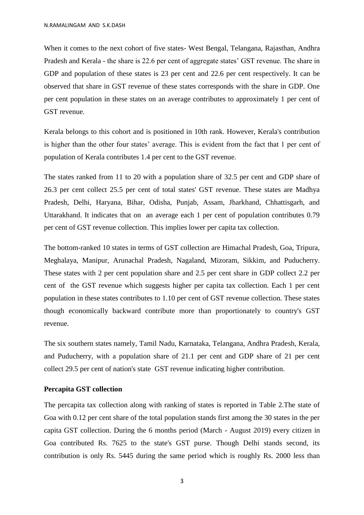When it comes to the next cohort of five states- West Bengal, Telangana, Rajasthan, Andhra Pradesh and Kerala - the share is 22.6 per cent of aggregate states' GST revenue. The share in GDP and population of these states is 23 per cent and 22.6 per cent respectively. It can be observed that share in GST revenue of these states corresponds with the share in GDP. One per cent population in these states on an average contributes to approximately 1 per cent of GST revenue.

Kerala belongs to this cohort and is positioned in 10th rank. However, Kerala's contribution is higher than the other four states' average. This is evident from the fact that 1 per cent of population of Kerala contributes 1.4 per cent to the GST revenue.

The states ranked from 11 to 20 with a population share of 32.5 per cent and GDP share of 26.3 per cent collect 25.5 per cent of total states' GST revenue. These states are Madhya Pradesh, Delhi, Haryana, Bihar, Odisha, Punjab, Assam, Jharkhand, Chhattisgarh, and Uttarakhand. It indicates that on an average each 1 per cent of population contributes 0.79 per cent of GST revenue collection. This implies lower per capita tax collection.

The bottom-ranked 10 states in terms of GST collection are Himachal Pradesh, Goa, Tripura, Meghalaya, Manipur, Arunachal Pradesh, Nagaland, Mizoram, Sikkim, and Puducherry. These states with 2 per cent population share and 2.5 per cent share in GDP collect 2.2 per cent of the GST revenue which suggests higher per capita tax collection. Each 1 per cent population in these states contributes to 1.10 per cent of GST revenue collection. These states though economically backward contribute more than proportionately to country's GST revenue.

The six southern states namely, Tamil Nadu, Karnataka, Telangana, Andhra Pradesh, Kerala, and Puducherry, with a population share of 21.1 per cent and GDP share of 21 per cent collect 29.5 per cent of nation's state GST revenue indicating higher contribution.

## **Percapita GST collection**

The percapita tax collection along with ranking of states is reported in Table 2.The state of Goa with 0.12 per cent share of the total population stands first among the 30 states in the per capita GST collection. During the 6 months period (March - August 2019) every citizen in Goa contributed Rs. 7625 to the state's GST purse. Though Delhi stands second, its contribution is only Rs. 5445 during the same period which is roughly Rs. 2000 less than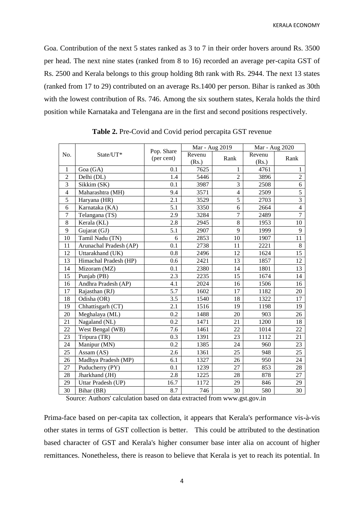Goa. Contribution of the next 5 states ranked as 3 to 7 in their order hovers around Rs. 3500 per head. The next nine states (ranked from 8 to 16) recorded an average per-capita GST of Rs. 2500 and Kerala belongs to this group holding 8th rank with Rs. 2944. The next 13 states (ranked from 17 to 29) contributed on an average Rs.1400 per person. Bihar is ranked as 30th with the lowest contribution of Rs. 746. Among the six southern states, Kerala holds the third position while Karnataka and Telengana are in the first and second positions respectively.

|                         | State/UT*              |                          | Mar - Aug 2019 |                | Mar - Aug 2020 |                |
|-------------------------|------------------------|--------------------------|----------------|----------------|----------------|----------------|
| No.                     |                        | Pop. Share<br>(per cent) | Revenu         |                | Revenu         | Rank           |
|                         |                        |                          | (Rs.)          | Rank           | (Rs.)          |                |
| 1                       | Goa (GA)               | 0.1                      | 7625           | 1              | 4761           | 1              |
| $\overline{2}$          | Delhi (DL)             | 1.4                      | 5446           | $\overline{2}$ | 3896           | $\overline{2}$ |
| 3                       | Sikkim (SK)            | 0.1                      | 3987           | 3              | 2508           | 6              |
| $\overline{\mathbf{4}}$ | Maharashtra (MH)       | 9.4                      | 3571           | $\overline{4}$ | 2509           | 5              |
| 5                       | Haryana (HR)           | 2.1                      | 3529           | 5              | 2703           | $\overline{3}$ |
| 6                       | Karnataka (KA)         | 5.1                      | 3350           | 6              | 2664           | $\overline{4}$ |
| $\overline{7}$          | Telangana (TS)         | 2.9                      | 3284           | $\overline{7}$ | 2489           | $\overline{7}$ |
| $\,8\,$                 | Kerala (KL)            | 2.8                      | 2945           | 8              | 1953           | 10             |
| 9                       | Gujarat (GJ)           | 5.1                      | 2907           | 9              | 1999           | 9              |
| 10                      | Tamil Nadu (TN)        | 6                        | 2853           | 10             | 1907           | 11             |
| 11                      | Arunachal Pradesh (AP) | 0.1                      | 2738           | 11             | 2221           | 8              |
| 12                      | Uttarakhand (UK)       | 0.8                      | 2496           | 12             | 1624           | 15             |
| 13                      | Himachal Pradesh (HP)  | 0.6                      | 2421           | 13             | 1857           | 12             |
| 14                      | Mizoram (MZ)           | 0.1                      | 2380           | 14             | 1801           | 13             |
| 15                      | Punjab (PB)            | 2.3                      | 2235           | 15             | 1674           | 14             |
| 16                      | Andhra Pradesh (AP)    | 4.1                      | 2024           | 16             | 1506           | 16             |
| 17                      | Rajasthan (RJ)         | 5.7                      | 1602           | 17             | 1182           | 20             |
| 18                      | Odisha (OR)            | 3.5                      | 1540           | 18             | 1322           | 17             |
| 19                      | Chhattisgarh (CT)      | 2.1                      | 1516           | 19             | 1198           | 19             |
| 20                      | Meghalaya (ML)         | 0.2                      | 1488           | 20             | 903            | 26             |
| 21                      | Nagaland (NL)          | 0.2                      | 1471           | 21             | 1200           | 18             |
| 22                      | West Bengal (WB)       | 7.6                      | 1461           | 22             | 1014           | 22             |
| 23                      | Tripura (TR)           | 0.3                      | 1391           | 23             | 1112           | 21             |
| 24                      | Manipur (MN)           | 0.2                      | 1385           | 24             | 960            | 23             |
| 25                      | Assam (AS)             | 2.6                      | 1361           | 25             | 948            | 25             |
| 26                      | Madhya Pradesh (MP)    | 6.1                      | 1327           | 26             | 950            | 24             |
| 27                      | Puducherry (PY)        | 0.1                      | 1239           | 27             | 853            | 28             |
| 28                      | Jharkhand (JH)         | 2.8                      | 1225           | 28             | 878            | 27             |
| 29                      | Uttar Pradesh (UP)     | 16.7                     | 1172           | 29             | 846            | 29             |
| 30                      | Bihar (BR)             | 8.7                      | 746            | 30             | 580            | 30             |

**Table 2.** Pre-Covid and Covid period percapita GST revenue

Source: Authors' calculation based on data extracted from www.gst.gov.in

Prima-face based on per-capita tax collection, it appears that Kerala's performance vis-à-vis other states in terms of GST collection is better. This could be attributed to the destination based character of GST and Kerala's higher consumer base inter alia on account of higher remittances. Nonetheless, there is reason to believe that Kerala is yet to reach its potential. In